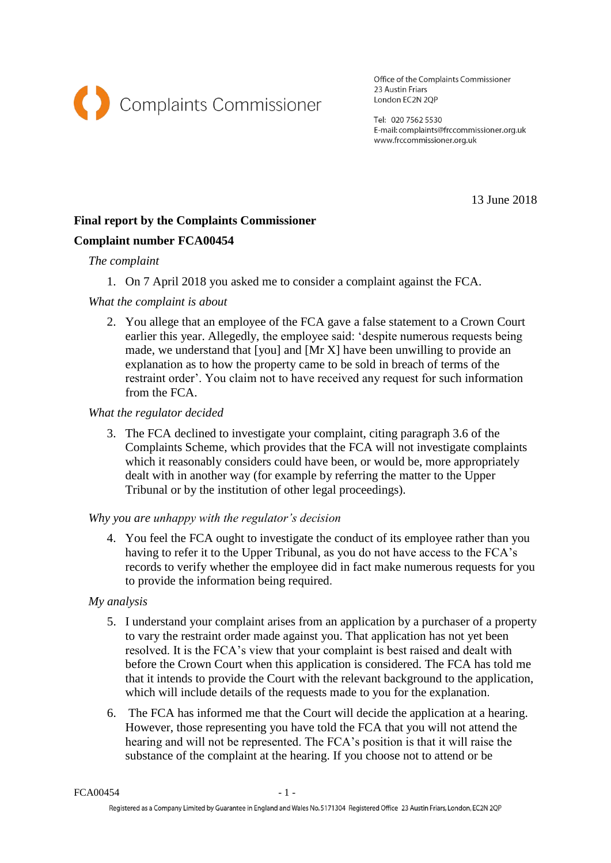

Office of the Complaints Commissioner 23 Austin Friars London EC2N 2QP

Tel: 020 7562 5530 E-mail: complaints@frccommissioner.org.uk www.frccommissioner.org.uk

13 June 2018

# **Final report by the Complaints Commissioner**

## **Complaint number FCA00454**

### *The complaint*

1. On 7 April 2018 you asked me to consider a complaint against the FCA.

## *What the complaint is about*

2. You allege that an employee of the FCA gave a false statement to a Crown Court earlier this year. Allegedly, the employee said: 'despite numerous requests being made, we understand that [you] and [Mr X] have been unwilling to provide an explanation as to how the property came to be sold in breach of terms of the restraint order'. You claim not to have received any request for such information from the FCA.

### *What the regulator decided*

3. The FCA declined to investigate your complaint, citing paragraph 3.6 of the Complaints Scheme, which provides that the FCA will not investigate complaints which it reasonably considers could have been, or would be, more appropriately dealt with in another way (for example by referring the matter to the Upper Tribunal or by the institution of other legal proceedings).

#### *Why you are unhappy with the regulator's decision*

4. You feel the FCA ought to investigate the conduct of its employee rather than you having to refer it to the Upper Tribunal, as you do not have access to the FCA's records to verify whether the employee did in fact make numerous requests for you to provide the information being required.

## *My analysis*

- 5. I understand your complaint arises from an application by a purchaser of a property to vary the restraint order made against you. That application has not yet been resolved. It is the FCA's view that your complaint is best raised and dealt with before the Crown Court when this application is considered. The FCA has told me that it intends to provide the Court with the relevant background to the application, which will include details of the requests made to you for the explanation.
- 6. The FCA has informed me that the Court will decide the application at a hearing. However, those representing you have told the FCA that you will not attend the hearing and will not be represented. The FCA's position is that it will raise the substance of the complaint at the hearing. If you choose not to attend or be